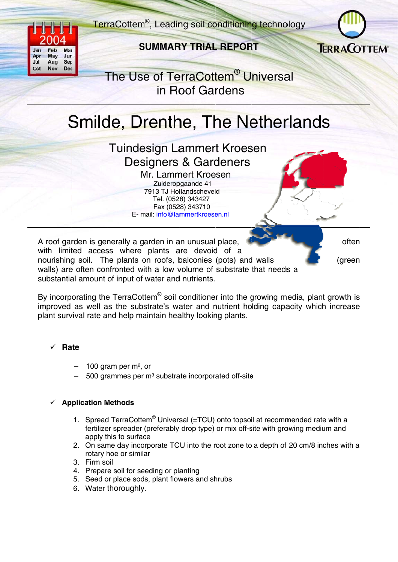

#### Feh Jan Mar Jun Ap **May** Jul Aug Sep  $Dec$ Oct **Nov**

## **SUMMARY TRIAL REPORT**



# The Use of TerraCottem<sup>®</sup> Universal in Roof Gardens

# Smilde, Drenthe, The Netherlands

**Tuindesign Lammert Kroesen Designers & Gardeners** Mr. Lammert Kroesen

Zuideropgaande 41 7913 TJ Hollandscheveld Tel. (0528) 343427 Fax (0528) 343710 E- mail: info@lammertkroesen.nl

A roof garden is generally a garden in an unusual place, with limited access where plants are devoid of a nourishing soil. The plants on roofs, balconies (pots) and walls walls) are often confronted with a low volume of substrate that needs a substantial amount of input of water and nutrients.

often

(green

By incorporating the TerraCottem<sup>®</sup> soil conditioner into the growing media, plant growth is improved as well as the substrate's water and nutrient holding capacity which increase plant survival rate and help maintain healthy looking plants.

### Rate

- 100 gram per  $m^2$ , or
- $-$  500 grammes per m<sup>3</sup> substrate incorporated off-site

### **Application Methods**

- 1. Spread TerraCottem<sup>®</sup> Universal (=TCU) onto topsoil at recommended rate with a fertilizer spreader (preferably drop type) or mix off-site with growing medium and apply this to surface
- 2. On same day incorporate TCU into the root zone to a depth of 20 cm/8 inches with a rotary hoe or similar
- 3. Firm soil
- 4. Prepare soil for seeding or planting
- 5. Seed or place sods, plant flowers and shrubs
- 6. Water thoroughly.